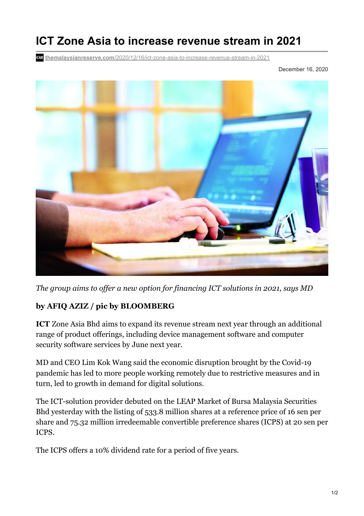## **ICT Zone Asia to increase revenue stream in 2021**

**themalaysianreserve.com**[/2020/12/16/ict-zone-asia-to-increase-revenue-stream-in-2021](https://themalaysianreserve.com/2020/12/16/ict-zone-asia-to-increase-revenue-stream-in-2021/)

December 16, 2020



*The group aims to of er a new option for financing ICT solutions in 2021, says MD*

## **by AFIQ AZIZ / pic by BLOOMBERG**

**ICT** Zone Asia Bhd aims to expand its revenue stream next year through an additional range of product offerings, including device management software and computer security software services by June next year.

MD and CEO Lim Kok Wang said the economic disruption brought by the Covid-19 pandemic has led to more people working remotely due to restrictive measures and in turn, led to growth in demand for digital solutions.

The ICT-solution provider debuted on the LEAP Market of Bursa Malaysia Securities Bhd yesterday with the listing of 533.8 million shares at a reference price of 16 sen per share and 75.32 million irredeemable convertible preference shares (ICPS) at 20 sen per ICPS.

The ICPS offers a 10% dividend rate for a period of five years.